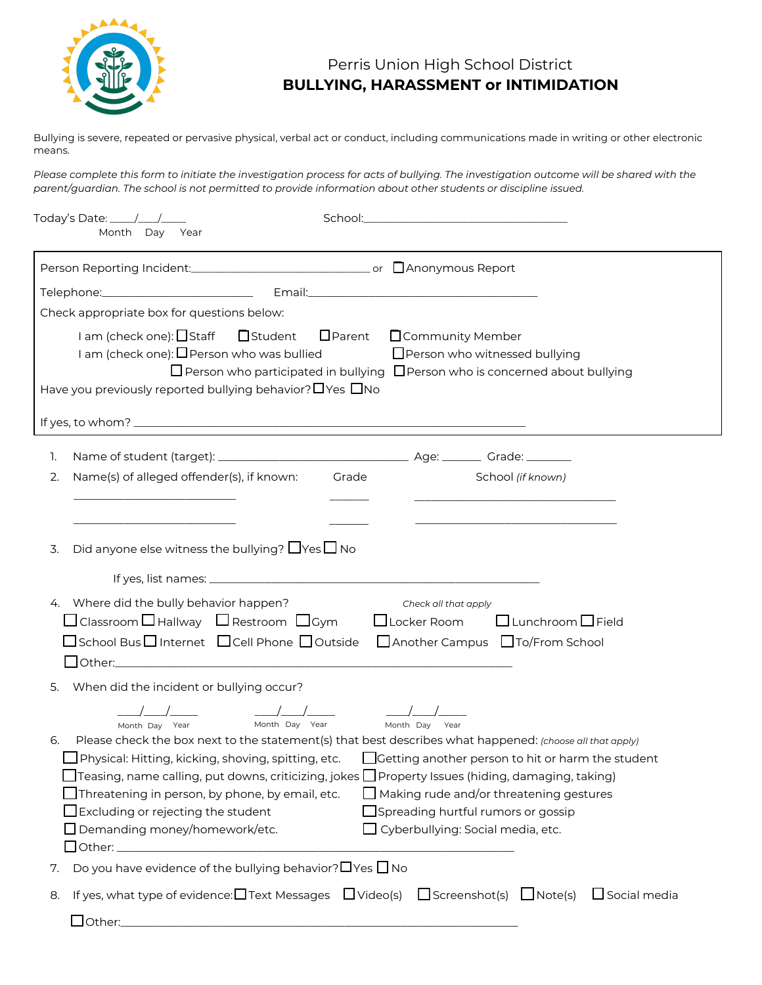

## Perris Union High School District **BULLYING, HARASSMENT or INTIMIDATION**

Bullying is severe, repeated or pervasive physical, verbal act or conduct, including communications made in writing or other electronic means.

*Please complete this form to initiate the investigation process for acts of bullying. The investigation outcome will be shared with the parent/guardian. The school is not permitted to provide information about other students or discipline issued.*

|    | Today's Date: _____/___/_____<br>Month Day Year                                                                                                                                                                                               |                                                                                                                                                                                                                                                                                                                                                                                                                                      |
|----|-----------------------------------------------------------------------------------------------------------------------------------------------------------------------------------------------------------------------------------------------|--------------------------------------------------------------------------------------------------------------------------------------------------------------------------------------------------------------------------------------------------------------------------------------------------------------------------------------------------------------------------------------------------------------------------------------|
|    |                                                                                                                                                                                                                                               |                                                                                                                                                                                                                                                                                                                                                                                                                                      |
|    |                                                                                                                                                                                                                                               |                                                                                                                                                                                                                                                                                                                                                                                                                                      |
|    | Check appropriate box for questions below:                                                                                                                                                                                                    |                                                                                                                                                                                                                                                                                                                                                                                                                                      |
|    | I am (check one): □ Staff □ Student □ Parent<br>I am (check one): $\Box$ Person who was bullied<br>Have you previously reported bullying behavior? $\Box$ Yes $\Box$ No                                                                       | □ Community Member<br>□ Person who witnessed bullying<br>$\Box$ Person who participated in bullying $\Box$ Person who is concerned about bullying                                                                                                                                                                                                                                                                                    |
|    |                                                                                                                                                                                                                                               |                                                                                                                                                                                                                                                                                                                                                                                                                                      |
| 1. |                                                                                                                                                                                                                                               |                                                                                                                                                                                                                                                                                                                                                                                                                                      |
| 2. | Name(s) of alleged offender(s), if known:                                                                                                                                                                                                     | Grade<br>School (if known)                                                                                                                                                                                                                                                                                                                                                                                                           |
|    |                                                                                                                                                                                                                                               |                                                                                                                                                                                                                                                                                                                                                                                                                                      |
|    |                                                                                                                                                                                                                                               |                                                                                                                                                                                                                                                                                                                                                                                                                                      |
| 3. | Did anyone else witness the bullying? $\Box$ Yes $\Box$ No                                                                                                                                                                                    |                                                                                                                                                                                                                                                                                                                                                                                                                                      |
|    |                                                                                                                                                                                                                                               |                                                                                                                                                                                                                                                                                                                                                                                                                                      |
|    | 4. Where did the bully behavior happen?                                                                                                                                                                                                       |                                                                                                                                                                                                                                                                                                                                                                                                                                      |
|    | $\Box$ Classroom $\Box$ Hallway $\Box$ Restroom $\Box$ Gym                                                                                                                                                                                    | Check all that apply<br>$\square$ Lunchroom $\square$ Field<br>$\Box$ Locker Room                                                                                                                                                                                                                                                                                                                                                    |
|    |                                                                                                                                                                                                                                               | □School Bus□Internet □Cell Phone □Outside □Another Campus □To/From School                                                                                                                                                                                                                                                                                                                                                            |
|    |                                                                                                                                                                                                                                               |                                                                                                                                                                                                                                                                                                                                                                                                                                      |
| 5. | When did the incident or bullying occur?                                                                                                                                                                                                      |                                                                                                                                                                                                                                                                                                                                                                                                                                      |
|    |                                                                                                                                                                                                                                               |                                                                                                                                                                                                                                                                                                                                                                                                                                      |
| 6. | Month Day Year<br>Month Day Year<br>$\Box$ Physical: Hitting, kicking, shoving, spitting, etc.<br>$\Box$ Threatening in person, by phone, by email, etc.<br>$\Box$ Excluding or rejecting the student<br>$\Box$ Demanding money/homework/etc. | Month Day Year<br>Please check the box next to the statement(s) that best describes what happened: (choose all that apply)<br>Getting another person to hit or harm the student<br>$\Box$ Teasing, name calling, put downs, criticizing, jokes $\Box$ Property Issues (hiding, damaging, taking)<br>$\Box$ Making rude and/or threatening gestures<br>$\Box$ Spreading hurtful rumors or gossip<br>Cyberbullying: Social media, etc. |
| 7. | Do you have evidence of the bullying behavior? $\Box$ Yes $\Box$ No                                                                                                                                                                           |                                                                                                                                                                                                                                                                                                                                                                                                                                      |
| 8. |                                                                                                                                                                                                                                               | $\Box$ Social media<br>If yes, what type of evidence: $\Box$ Text Messages $\Box$ Video(s) $\Box$ Screenshot(s) $\Box$ Note(s)                                                                                                                                                                                                                                                                                                       |
|    |                                                                                                                                                                                                                                               |                                                                                                                                                                                                                                                                                                                                                                                                                                      |
|    |                                                                                                                                                                                                                                               |                                                                                                                                                                                                                                                                                                                                                                                                                                      |